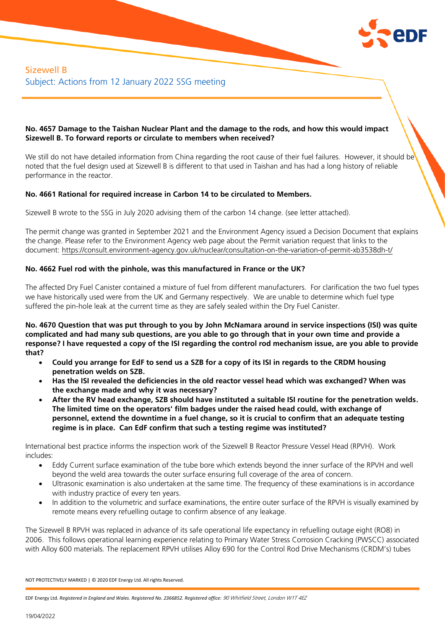

# Sizewell B Subject: Actions from 12 January 2022 SSG meeting

## **No. 4657 Damage to the Taishan Nuclear Plant and the damage to the rods, and how this would impact Sizewell B. To forward reports or circulate to members when received?**

We still do not have detailed information from China regarding the root cause of their fuel failures. However, it should be noted that the fuel design used at Sizewell B is different to that used in Taishan and has had a long history of reliable performance in the reactor.

# **No. 4661 Rational for required increase in Carbon 14 to be circulated to Members.**

Sizewell B wrote to the SSG in July 2020 advising them of the carbon 14 change. (see letter attached).

The permit change was granted in September 2021 and the Environment Agency issued a Decision Document that explains the change. Please refer to the Environment Agency web page about the Permit variation request that links to the document: <https://consult.environment-agency.gov.uk/nuclear/consultation-on-the-variation-of-permit-xb3538dh-t/>

# **No. 4662 Fuel rod with the pinhole, was this manufactured in France or the UK?**

The affected Dry Fuel Canister contained a mixture of fuel from different manufacturers. For clarification the two fuel types we have historically used were from the UK and Germany respectively. We are unable to determine which fuel type suffered the pin-hole leak at the current time as they are safely sealed within the Dry Fuel Canister.

**No. 4670 Question that was put through to you by John McNamara around in service inspections (ISI) was quite complicated and had many sub questions, are you able to go through that in your own time and provide a response? I have requested a copy of the ISI regarding the control rod mechanism issue, are you able to provide that?** 

- **Could you arrange for EdF to send us a SZB for a copy of its ISI in regards to the CRDM housing penetration welds on SZB.**
- **Has the ISI revealed the deficiencies in the old reactor vessel head which was exchanged? When was the exchange made and why it was necessary?**
- **After the RV head exchange, SZB should have instituted a suitable ISI routine for the penetration welds. The limited time on the operators' film badges under the raised head could, with exchange of personnel, extend the downtime in a fuel change, so it is crucial to confirm that an adequate testing regime is in place. Can EdF confirm that such a testing regime was instituted?**

International best practice informs the inspection work of the Sizewell B Reactor Pressure Vessel Head (RPVH). Work includes:

- Eddy Current surface examination of the tube bore which extends beyond the inner surface of the RPVH and well beyond the weld area towards the outer surface ensuring full coverage of the area of concern.
- Ultrasonic examination is also undertaken at the same time. The frequency of these examinations is in accordance with industry practice of every ten years.
- In addition to the volumetric and surface examinations, the entire outer surface of the RPVH is visually examined by remote means every refuelling outage to confirm absence of any leakage.

The Sizewell B RPVH was replaced in advance of its safe operational life expectancy in refuelling outage eight (RO8) in 2006. This follows operational learning experience relating to Primary Water Stress Corrosion Cracking (PWSCC) associated with Alloy 600 materials. The replacement RPVH utilises Alloy 690 for the Control Rod Drive Mechanisms (CRDM's) tubes

NOT PROTECTIVELY MARKED | © 2020 EDF Energy Ltd. All rights Reserved.

EDF Energy Ltd. *Registered in England and Wales. Registered No. 2366852. Registered office:* 90 Whitfield Street, London W1T 4EZ